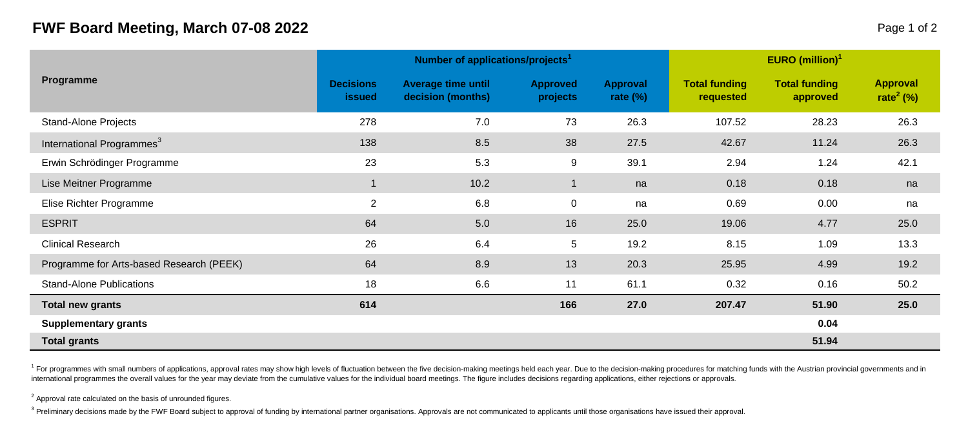## **FWF Board Meeting, March 07-08 2022** Page 1 of 2

|                                          |                                   | Number of applications/projects <sup>1</sup>   |                             | EURO $(million)^1$      |                                   |                                  |                                          |  |
|------------------------------------------|-----------------------------------|------------------------------------------------|-----------------------------|-------------------------|-----------------------------------|----------------------------------|------------------------------------------|--|
| Programme                                | <b>Decisions</b><br><b>issued</b> | <b>Average time until</b><br>decision (months) | <b>Approved</b><br>projects | Approval<br>rate $(\%)$ | <b>Total funding</b><br>requested | <b>Total funding</b><br>approved | <b>Approval</b><br>rate <sup>2</sup> (%) |  |
| Stand-Alone Projects                     | 278                               | 7.0                                            | 73                          | 26.3                    | 107.52                            | 28.23                            | 26.3                                     |  |
| International Programmes <sup>3</sup>    | 138                               | 8.5                                            | 38                          | 27.5                    | 42.67                             | 11.24                            | 26.3                                     |  |
| Erwin Schrödinger Programme              | 23                                | 5.3                                            | 9                           | 39.1                    | 2.94                              | 1.24                             | 42.1                                     |  |
| Lise Meitner Programme                   |                                   | 10.2                                           | $\mathbf{1}$                | na                      | 0.18                              | 0.18                             | na                                       |  |
| Elise Richter Programme                  | 2                                 | 6.8                                            | 0                           | na                      | 0.69                              | 0.00                             | na                                       |  |
| <b>ESPRIT</b>                            | 64                                | 5.0                                            | 16                          | 25.0                    | 19.06                             | 4.77                             | 25.0                                     |  |
| <b>Clinical Research</b>                 | 26                                | 6.4                                            | 5                           | 19.2                    | 8.15                              | 1.09                             | 13.3                                     |  |
| Programme for Arts-based Research (PEEK) | 64                                | 8.9                                            | 13                          | 20.3                    | 25.95                             | 4.99                             | 19.2                                     |  |
| <b>Stand-Alone Publications</b>          | 18                                | 6.6                                            | 11                          | 61.1                    | 0.32                              | 0.16                             | 50.2                                     |  |
| <b>Total new grants</b>                  | 614                               |                                                | 166                         | 27.0                    | 207.47                            | 51.90                            | 25.0                                     |  |
| <b>Supplementary grants</b>              |                                   |                                                |                             |                         |                                   | 0.04                             |                                          |  |
| <b>Total grants</b>                      |                                   |                                                |                             |                         |                                   | 51.94                            |                                          |  |

<sup>1</sup> For programmes with small numbers of applications, approval rates may show high levels of fluctuation between the five decision-making meetings held each year. Due to the decision-making procedures for matching funds w international programmes the overall values for the year may deviate from the cumulative values for the individual board meetings. The figure includes decisions regarding applications, either rejections or approvals.

 $2$  Approval rate calculated on the basis of unrounded figures.

<sup>3</sup> Preliminary decisions made by the FWF Board subject to approval of funding by international partner organisations. Approvals are not communicated to applicants until those organisations have issued their approval.